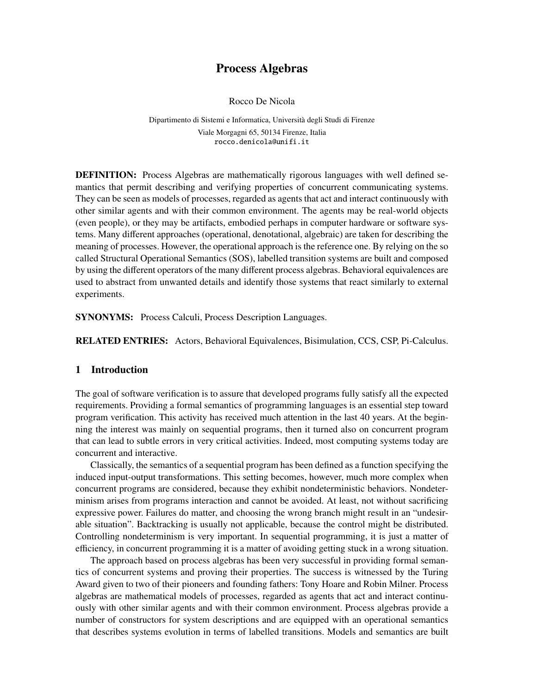# Process Algebras

Rocco De Nicola

Dipartimento di Sistemi e Informatica, Universita degli Studi di Firenze ` Viale Morgagni 65, 50134 Firenze, Italia rocco.denicola@unifi.it

DEFINITION: Process Algebras are mathematically rigorous languages with well defined semantics that permit describing and verifying properties of concurrent communicating systems. They can be seen as models of processes, regarded as agents that act and interact continuously with other similar agents and with their common environment. The agents may be real-world objects (even people), or they may be artifacts, embodied perhaps in computer hardware or software systems. Many different approaches (operational, denotational, algebraic) are taken for describing the meaning of processes. However, the operational approach is the reference one. By relying on the so called Structural Operational Semantics (SOS), labelled transition systems are built and composed by using the different operators of the many different process algebras. Behavioral equivalences are used to abstract from unwanted details and identify those systems that react similarly to external experiments.

SYNONYMS: Process Calculi, Process Description Languages.

RELATED ENTRIES: Actors, Behavioral Equivalences, Bisimulation, CCS, CSP, Pi-Calculus.

## 1 Introduction

The goal of software verification is to assure that developed programs fully satisfy all the expected requirements. Providing a formal semantics of programming languages is an essential step toward program verification. This activity has received much attention in the last 40 years. At the beginning the interest was mainly on sequential programs, then it turned also on concurrent program that can lead to subtle errors in very critical activities. Indeed, most computing systems today are concurrent and interactive.

Classically, the semantics of a sequential program has been defined as a function specifying the induced input-output transformations. This setting becomes, however, much more complex when concurrent programs are considered, because they exhibit nondeterministic behaviors. Nondeterminism arises from programs interaction and cannot be avoided. At least, not without sacrificing expressive power. Failures do matter, and choosing the wrong branch might result in an "undesirable situation". Backtracking is usually not applicable, because the control might be distributed. Controlling nondeterminism is very important. In sequential programming, it is just a matter of efficiency, in concurrent programming it is a matter of avoiding getting stuck in a wrong situation.

The approach based on process algebras has been very successful in providing formal semantics of concurrent systems and proving their properties. The success is witnessed by the Turing Award given to two of their pioneers and founding fathers: Tony Hoare and Robin Milner. Process algebras are mathematical models of processes, regarded as agents that act and interact continuously with other similar agents and with their common environment. Process algebras provide a number of constructors for system descriptions and are equipped with an operational semantics that describes systems evolution in terms of labelled transitions. Models and semantics are built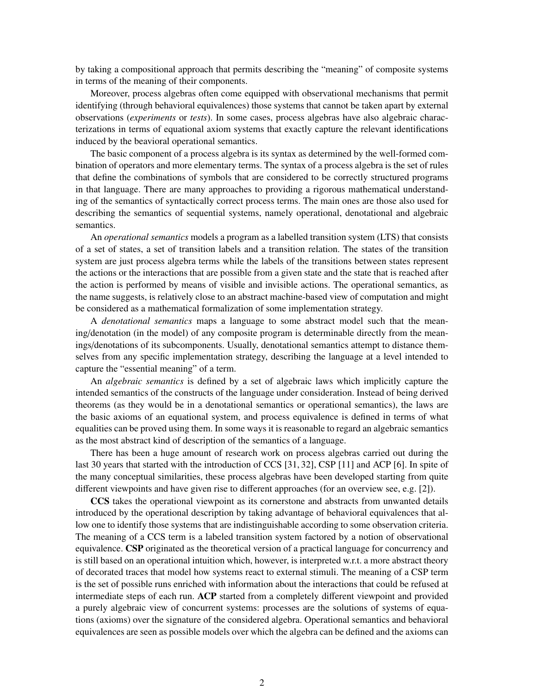by taking a compositional approach that permits describing the "meaning" of composite systems in terms of the meaning of their components.

Moreover, process algebras often come equipped with observational mechanisms that permit identifying (through behavioral equivalences) those systems that cannot be taken apart by external observations (*experiments* or *tests*). In some cases, process algebras have also algebraic characterizations in terms of equational axiom systems that exactly capture the relevant identifications induced by the beavioral operational semantics.

The basic component of a process algebra is its syntax as determined by the well-formed combination of operators and more elementary terms. The syntax of a process algebra is the set of rules that define the combinations of symbols that are considered to be correctly structured programs in that language. There are many approaches to providing a rigorous mathematical understanding of the semantics of syntactically correct process terms. The main ones are those also used for describing the semantics of sequential systems, namely operational, denotational and algebraic semantics.

An *operational semantics* models a program as a labelled transition system (LTS) that consists of a set of states, a set of transition labels and a transition relation. The states of the transition system are just process algebra terms while the labels of the transitions between states represent the actions or the interactions that are possible from a given state and the state that is reached after the action is performed by means of visible and invisible actions. The operational semantics, as the name suggests, is relatively close to an abstract machine-based view of computation and might be considered as a mathematical formalization of some implementation strategy.

A *denotational semantics* maps a language to some abstract model such that the meaning/denotation (in the model) of any composite program is determinable directly from the meanings/denotations of its subcomponents. Usually, denotational semantics attempt to distance themselves from any specific implementation strategy, describing the language at a level intended to capture the "essential meaning" of a term.

An *algebraic semantics* is defined by a set of algebraic laws which implicitly capture the intended semantics of the constructs of the language under consideration. Instead of being derived theorems (as they would be in a denotational semantics or operational semantics), the laws are the basic axioms of an equational system, and process equivalence is defined in terms of what equalities can be proved using them. In some ways it is reasonable to regard an algebraic semantics as the most abstract kind of description of the semantics of a language.

There has been a huge amount of research work on process algebras carried out during the last 30 years that started with the introduction of CCS [31, 32], CSP [11] and ACP [6]. In spite of the many conceptual similarities, these process algebras have been developed starting from quite different viewpoints and have given rise to different approaches (for an overview see, e.g. [2]).

CCS takes the operational viewpoint as its cornerstone and abstracts from unwanted details introduced by the operational description by taking advantage of behavioral equivalences that allow one to identify those systems that are indistinguishable according to some observation criteria. The meaning of a CCS term is a labeled transition system factored by a notion of observational equivalence. CSP originated as the theoretical version of a practical language for concurrency and is still based on an operational intuition which, however, is interpreted w.r.t. a more abstract theory of decorated traces that model how systems react to external stimuli. The meaning of a CSP term is the set of possible runs enriched with information about the interactions that could be refused at intermediate steps of each run. ACP started from a completely different viewpoint and provided a purely algebraic view of concurrent systems: processes are the solutions of systems of equations (axioms) over the signature of the considered algebra. Operational semantics and behavioral equivalences are seen as possible models over which the algebra can be defined and the axioms can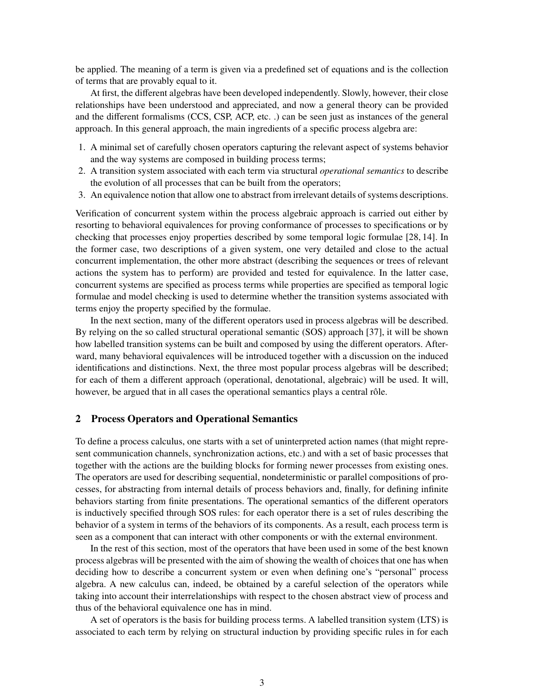be applied. The meaning of a term is given via a predefined set of equations and is the collection of terms that are provably equal to it.

At first, the different algebras have been developed independently. Slowly, however, their close relationships have been understood and appreciated, and now a general theory can be provided and the different formalisms (CCS, CSP, ACP, etc. .) can be seen just as instances of the general approach. In this general approach, the main ingredients of a specific process algebra are:

- 1. A minimal set of carefully chosen operators capturing the relevant aspect of systems behavior and the way systems are composed in building process terms;
- 2. A transition system associated with each term via structural *operational semantics* to describe the evolution of all processes that can be built from the operators;
- 3. An equivalence notion that allow one to abstract from irrelevant details of systems descriptions.

Verification of concurrent system within the process algebraic approach is carried out either by resorting to behavioral equivalences for proving conformance of processes to specifications or by checking that processes enjoy properties described by some temporal logic formulae [28, 14]. In the former case, two descriptions of a given system, one very detailed and close to the actual concurrent implementation, the other more abstract (describing the sequences or trees of relevant actions the system has to perform) are provided and tested for equivalence. In the latter case, concurrent systems are specified as process terms while properties are specified as temporal logic formulae and model checking is used to determine whether the transition systems associated with terms enjoy the property specified by the formulae.

In the next section, many of the different operators used in process algebras will be described. By relying on the so called structural operational semantic (SOS) approach [37], it will be shown how labelled transition systems can be built and composed by using the different operators. Afterward, many behavioral equivalences will be introduced together with a discussion on the induced identifications and distinctions. Next, the three most popular process algebras will be described; for each of them a different approach (operational, denotational, algebraic) will be used. It will, however, be argued that in all cases the operational semantics plays a central rôle.

## 2 Process Operators and Operational Semantics

To define a process calculus, one starts with a set of uninterpreted action names (that might represent communication channels, synchronization actions, etc.) and with a set of basic processes that together with the actions are the building blocks for forming newer processes from existing ones. The operators are used for describing sequential, nondeterministic or parallel compositions of processes, for abstracting from internal details of process behaviors and, finally, for defining infinite behaviors starting from finite presentations. The operational semantics of the different operators is inductively specified through SOS rules: for each operator there is a set of rules describing the behavior of a system in terms of the behaviors of its components. As a result, each process term is seen as a component that can interact with other components or with the external environment.

In the rest of this section, most of the operators that have been used in some of the best known process algebras will be presented with the aim of showing the wealth of choices that one has when deciding how to describe a concurrent system or even when defining one's "personal" process algebra. A new calculus can, indeed, be obtained by a careful selection of the operators while taking into account their interrelationships with respect to the chosen abstract view of process and thus of the behavioral equivalence one has in mind.

A set of operators is the basis for building process terms. A labelled transition system (LTS) is associated to each term by relying on structural induction by providing specific rules in for each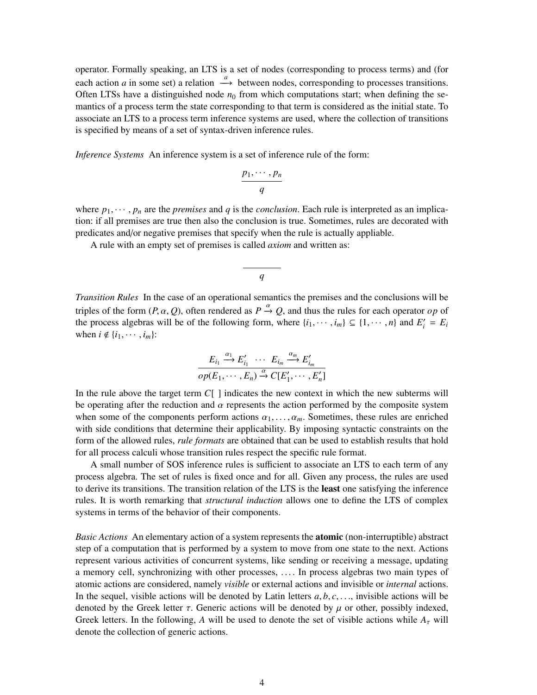operator. Formally speaking, an LTS is a set of nodes (corresponding to process terms) and (for each action *a* in some set) a relation  $\stackrel{a}{\longrightarrow}$  between nodes, corresponding to processes transitions. Often LTSs have a distinguished node  $n_0$  from which computations start; when defining the semantics of a process term the state corresponding to that term is considered as the initial state. To associate an LTS to a process term inference systems are used, where the collection of transitions is specified by means of a set of syntax-driven inference rules.

*Inference Systems* An inference system is a set of inference rule of the form:

$$
\frac{p_1,\cdots,p_n}{q}
$$

where  $p_1, \dots, p_n$  are the *premises* and *q* is the *conclusion*. Each rule is interpreted as an implication: if all premises are true then also the conclusion is true. Sometimes, rules are decorated with predicates and/or negative premises that specify when the rule is actually appliable.

A rule with an empty set of premises is called *axiom* and written as:

#### *q*

*Transition Rules* In the case of an operational semantics the premises and the conclusions will be triples of the form  $(P, \alpha, Q)$ , often rendered as  $P \stackrel{\leftrightarrow}{\rightarrow} Q$ , and thus the rules for each operator *op* of<br>the process algebras will be of the following form, where *lie*,  $\alpha, \beta, \beta \in \{1, \dots, n\}$  and  $F' = F$ . the process algebras will be of the following form, where  $\{i_1, \dots, i_m\} \subseteq \{1, \dots, n\}$  and  $E'_i$ <br>when  $i \notin \{i_1, \dots, i_m\}$  $E_i' = E_i$ when  $i \notin \{i_1, \dots, i_m\}$ :

$$
E_{i_1} \xrightarrow{\alpha_1} E'_{i_1} \cdots E_{i_m} \xrightarrow{\alpha_m} E'_{i_m}
$$
  

$$
op(E_1, \cdots, E_n) \xrightarrow{\alpha} C[E'_1, \cdots, E'_n]
$$

In the rule above the target term  $C[\ ]$  indicates the new context in which the new subterms will be operating after the reduction and  $\alpha$  represents the action performed by the composite system when some of the components perform actions  $\alpha_1, \ldots, \alpha_m$ . Sometimes, these rules are enriched with side conditions that determine their applicability. By imposing syntactic constraints on the form of the allowed rules, *rule formats* are obtained that can be used to establish results that hold for all process calculi whose transition rules respect the specific rule format.

A small number of SOS inference rules is sufficient to associate an LTS to each term of any process algebra. The set of rules is fixed once and for all. Given any process, the rules are used to derive its transitions. The transition relation of the LTS is the least one satisfying the inference rules. It is worth remarking that *structural induction* allows one to define the LTS of complex systems in terms of the behavior of their components.

*Basic Actions* An elementary action of a system represents the atomic (non-interruptible) abstract step of a computation that is performed by a system to move from one state to the next. Actions represent various activities of concurrent systems, like sending or receiving a message, updating a memory cell, synchronizing with other processes, . . . . In process algebras two main types of atomic actions are considered, namely *visible* or external actions and invisible or *internal* actions. In the sequel, visible actions will be denoted by Latin letters  $a, b, c, \ldots$ , invisible actions will be denoted by the Greek letter  $\tau$ . Generic actions will be denoted by  $\mu$  or other, possibly indexed, Greek letters. In the following, A will be used to denote the set of visible actions while  $A<sub>\tau</sub>$  will denote the collection of generic actions.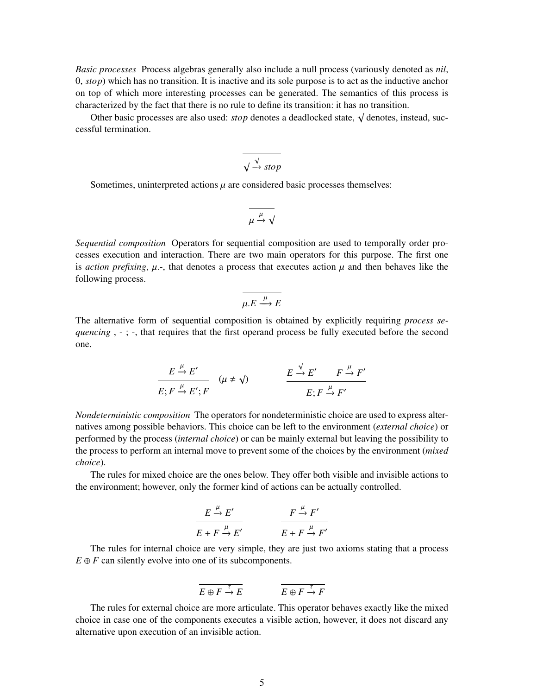*Basic processes* Process algebras generally also include a null process (variously denoted as *nil*, 0, *stop*) which has no transition. It is inactive and its sole purpose is to act as the inductive anchor on top of which more interesting processes can be generated. The semantics of this process is characterized by the fact that there is no rule to define its transition: it has no transition.

Other basic processes are also used: *stop* denotes a deadlocked state, <sup>√</sup> denotes, instead, successful termination.

$$
\overline{\sqrt{\stackrel{\sqrt{\phantom{0}}}{\rightarrow}\mathit{stop}}}
$$

Sometimes, uninterpreted actions  $\mu$  are considered basic processes themselves:

$$
\overline{\mu \xrightarrow{\mu} \sqrt{\cdots}}
$$

*Sequential composition* Operators for sequential composition are used to temporally order processes execution and interaction. There are two main operators for this purpose. The first one is *action prefixing*,  $\mu$ .-, that denotes a process that executes action  $\mu$  and then behaves like the following process.

$$
\mu.E \xrightarrow{\mu} E
$$

The alternative form of sequential composition is obtained by explicitly requiring *process sequencing*,  $-$ ;  $-$ , that requires that the first operand process be fully executed before the second one.

$$
\frac{E \xrightarrow{\mu} E'}{E; F \xrightarrow{\mu} E'; F} \quad (\mu \neq \sqrt{)} \qquad \qquad \frac{E \xrightarrow{\sqrt{}} E'}{E; F \xrightarrow{\mu} F'}
$$

*Nondeterministic composition* The operators for nondeterministic choice are used to express alternatives among possible behaviors. This choice can be left to the environment (*external choice*) or performed by the process (*internal choice*) or can be mainly external but leaving the possibility to the process to perform an internal move to prevent some of the choices by the environment (*mixed choice*).

The rules for mixed choice are the ones below. They offer both visible and invisible actions to the environment; however, only the former kind of actions can be actually controlled.

$$
\frac{E \stackrel{\mu}{\to} E'}{E + F \stackrel{\mu}{\to} E'} \qquad \qquad \frac{F \stackrel{\mu}{\to} F'}{E + F \stackrel{\mu}{\to} F'}
$$

The rules for internal choice are very simple, they are just two axioms stating that a process  $E \oplus F$  can silently evolve into one of its subcomponents.

$$
\overline{E \oplus F \xrightarrow{\tau} E} \qquad \qquad \overline{E \oplus F \xrightarrow{\tau} F}
$$

The rules for external choice are more articulate. This operator behaves exactly like the mixed choice in case one of the components executes a visible action, however, it does not discard any alternative upon execution of an invisible action.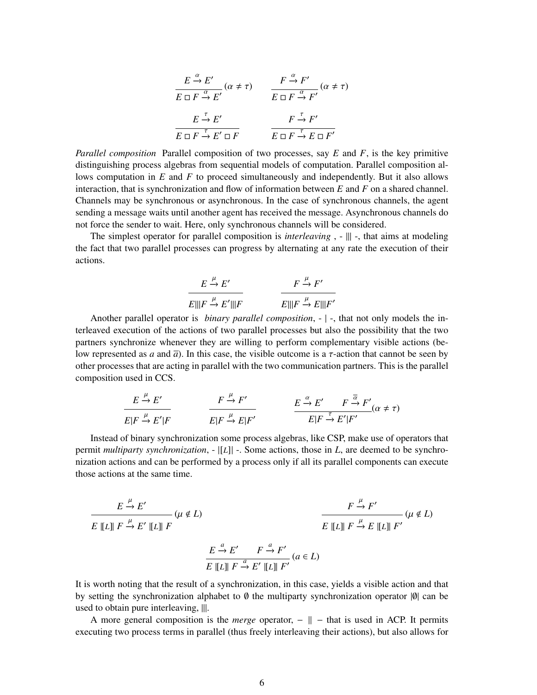$$
\frac{E \stackrel{\alpha}{\rightarrow} E'}{E \Box F \stackrel{\alpha}{\rightarrow} E'} (\alpha \neq \tau) \qquad \frac{F \stackrel{\alpha}{\rightarrow} F'}{E \Box F \stackrel{\alpha}{\rightarrow} F'} (\alpha \neq \tau)
$$

$$
\frac{E \stackrel{\tau}{\rightarrow} E'}{E \Box F \stackrel{\tau}{\rightarrow} E' \Box F} \qquad \frac{F \stackrel{\tau}{\rightarrow} F'}{E \Box F \stackrel{\tau}{\rightarrow} E \Box F'}
$$

*Parallel composition* Parallel composition of two processes, say *E* and *F*, is the key primitive distinguishing process algebras from sequential models of computation. Parallel composition allows computation in *E* and *F* to proceed simultaneously and independently. But it also allows interaction, that is synchronization and flow of information between *E* and *F* on a shared channel. Channels may be synchronous or asynchronous. In the case of synchronous channels, the agent sending a message waits until another agent has received the message. Asynchronous channels do not force the sender to wait. Here, only synchronous channels will be considered.

The simplest operator for parallel composition is *interleaving* , - ||| -, that aims at modeling the fact that two parallel processes can progress by alternating at any rate the execution of their actions.

$$
\frac{E \stackrel{\mu}{\to} E'}{E \parallel F \stackrel{\mu}{\to} E' \parallel F} \qquad \qquad \frac{F \stackrel{\mu}{\to} F'}{E \parallel F \stackrel{\mu}{\to} E \parallel F'}
$$

Another parallel operator is *binary parallel composition*,  $|$ , that not only models the interleaved execution of the actions of two parallel processes but also the possibility that the two partners synchronize whenever they are willing to perform complementary visible actions (below represented as *a* and  $\overline{a}$ ). In this case, the visible outcome is a  $\tau$ -action that cannot be seen by other processes that are acting in parallel with the two communication partners. This is the parallel composition used in CCS.

$$
\frac{E \xrightarrow{\mu} E'}{E|F \xrightarrow{\mu} E'|F} \qquad \frac{F \xrightarrow{\mu} F'}{E|F \xrightarrow{\mu} E|F'} \qquad \frac{E \xrightarrow{\alpha} E'}{E|F \xrightarrow{\tau} E'|F'} (\alpha \neq \tau)
$$

Instead of binary synchronization some process algebras, like CSP, make use of operators that permit *multiparty synchronization*, - |[*L*]| -. Some actions, those in *L*, are deemed to be synchronization actions and can be performed by a process only if all its parallel components can execute those actions at the same time.

$$
\frac{E \stackrel{\mu}{\rightarrow} E'}{E \parallel L \parallel F \stackrel{\mu}{\rightarrow} E' \parallel L \parallel F}
$$
\n
$$
\frac{F \stackrel{\mu}{\rightarrow} F'}{E \parallel L \parallel F'}
$$
\n
$$
\frac{E \stackrel{a}{\rightarrow} E'}{E \parallel L \parallel F \stackrel{a}{\rightarrow} E' \parallel L \parallel F'}
$$
\n
$$
\frac{E \stackrel{a}{\rightarrow} E'}{E \parallel L \parallel F \stackrel{a}{\rightarrow} E' \parallel L \parallel F'}
$$
\n
$$
(a \in L)
$$

It is worth noting that the result of a synchronization, in this case, yields a visible action and that by setting the synchronization alphabet to Ø the multiparty synchronization operator |Ø| can be used to obtain pure interleaving, |||.

A more general composition is the *merge* operator,  $- \parallel -$  that is used in ACP. It permits executing two process terms in parallel (thus freely interleaving their actions), but also allows for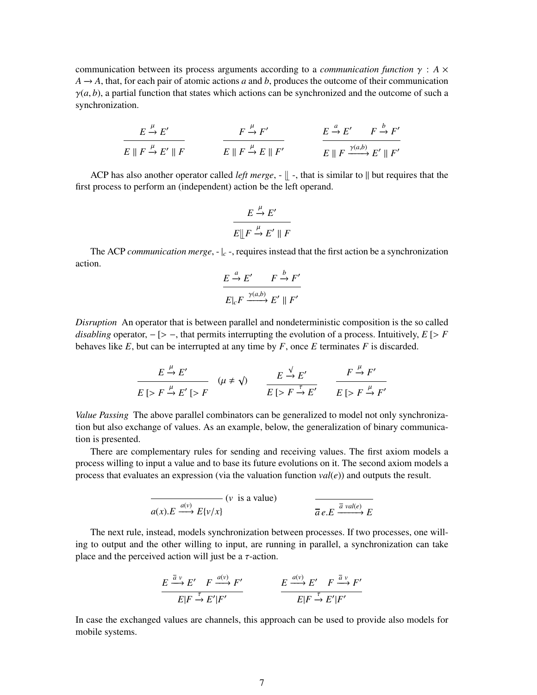communication between its process arguments according to a *communication function* γ : *<sup>A</sup>* <sup>×</sup>  $A \rightarrow A$ , that, for each pair of atomic actions *a* and *b*, produces the outcome of their communication  $\gamma(a, b)$ , a partial function that states which actions can be synchronized and the outcome of such a synchronization.

$$
\frac{E \stackrel{\mu}{\to} E'}{E \parallel F \stackrel{\mu}{\to} E' \parallel F}
$$
\n
$$
E \parallel F \stackrel{\mu}{\to} E' \parallel F'
$$
\n
$$
E \parallel F \stackrel{\mu}{\to} E \parallel F'
$$
\n
$$
E \parallel F \stackrel{\gamma(a,b)}{\to} E' \parallel F'
$$

ACP has also another operator called *left merge*,  $- \parallel -$ , that is similar to  $\parallel$  but requires that the first process to perform an (independent) action be the left operand.

$$
\frac{E \stackrel{\mu}{\to} E'}{E \parallel F \stackrel{\mu}{\to} E' \parallel F}
$$

The ACP *communication merge*,  $-|c|$ , requires instead that the first action be a synchronization action.

$$
\frac{E \stackrel{a}{\to} E'}{E|_c F \xrightarrow{\gamma(a,b)} E' \parallel F'}
$$

*Disruption* An operator that is between parallel and nondeterministic composition is the so called *disabling* operator,  $-$  [>  $-$ , that permits interrupting the evolution of a process. Intuitively,  $E$  [>  $F$ behaves like *E*, but can be interrupted at any time by *F*, once *E* terminates *F* is discarded.

$$
\frac{E \xrightarrow{\mu} E'}{E \rvert F \xrightarrow{\mu} E' \rvert F} \quad (\mu \neq \sqrt{}) \qquad \frac{E \xrightarrow{\sqrt} E'}{E \rvert F \xrightarrow{\tau} E'} \qquad \frac{F \xrightarrow{\mu} F'}{E \rvert F \xrightarrow{\mu} F'}
$$

*Value Passing* The above parallel combinators can be generalized to model not only synchronization but also exchange of values. As an example, below, the generalization of binary communication is presented.

There are complementary rules for sending and receiving values. The first axiom models a process willing to input a value and to base its future evolutions on it. The second axiom models a process that evaluates an expression (via the valuation function *val*(*e*)) and outputs the result.

$$
\overline{a(x).E \xrightarrow{a(v)} E\{v/x\}} \quad (v \text{ is a value}) \qquad \overline{a e.E \xrightarrow{\overline{a} \text{ val}(e)} E}
$$

The next rule, instead, models synchronization between processes. If two processes, one willing to output and the other willing to input, are running in parallel, a synchronization can take place and the perceived action will just be a  $\tau$ -action.

$$
\frac{E \xrightarrow{\bar{a} \ v} E' \qquad F \xrightarrow{a(\nu)} F'}{E|F \xrightarrow{\tau} E'|F'}
$$
\n
$$
\frac{E \xrightarrow{a(\nu)} E' \qquad F \xrightarrow{\bar{a} \ v} F'}{E|F \xrightarrow{\tau} E'|F'}
$$

In case the exchanged values are channels, this approach can be used to provide also models for mobile systems.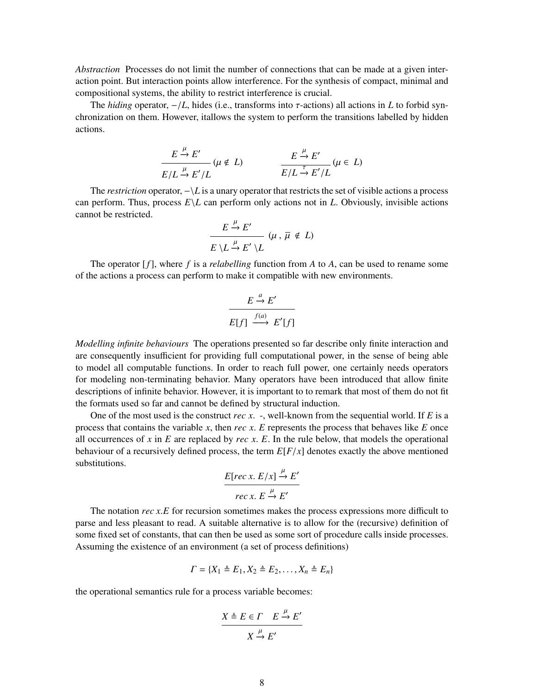*Abstraction* Processes do not limit the number of connections that can be made at a given interaction point. But interaction points allow interference. For the synthesis of compact, minimal and compositional systems, the ability to restrict interference is crucial.

The *hiding* operator,  $- / L$ , hides (i.e., transforms into  $\tau$ -actions) all actions in *L* to forbid synchronization on them. However, itallows the system to perform the transitions labelled by hidden actions.

$$
\frac{E \stackrel{\mu}{\to} E'}{E/L \stackrel{\mu}{\to} E'/L} (\mu \notin L) \qquad \qquad \frac{E \stackrel{\mu}{\to} E'}{E/L \stackrel{\tau}{\to} E'/L} (\mu \in L)
$$

The *restriction* operator,  $-\angle L$  is a unary operator that restricts the set of visible actions a process can perform. Thus, process  $E\setminus L$  can perform only actions not in *L*. Obviously, invisible actions cannot be restricted.

$$
\frac{E \stackrel{\mu}{\to} E'}{E \setminus L \stackrel{\mu}{\to} E' \setminus L} (\mu, \overline{\mu} \notin L)
$$

The operator [*f*], where *f* is a *relabelling* function from *A* to *A*, can be used to rename some of the actions a process can perform to make it compatible with new environments.

$$
\frac{E \stackrel{a}{\rightarrow} E'}{E[f] \stackrel{f(a)}{\longrightarrow} E'[f]}
$$

*Modelling infinite behaviours* The operations presented so far describe only finite interaction and are consequently insufficient for providing full computational power, in the sense of being able to model all computable functions. In order to reach full power, one certainly needs operators for modeling non-terminating behavior. Many operators have been introduced that allow finite descriptions of infinite behavior. However, it is important to to remark that most of them do not fit the formats used so far and cannot be defined by structural induction.

One of the most used is the construct *rec x*. -, well-known from the sequential world. If *<sup>E</sup>* is a process that contains the variable *<sup>x</sup>*, then *rec x*. *<sup>E</sup>* represents the process that behaves like *<sup>E</sup>* once all occurrences of *<sup>x</sup>* in *<sup>E</sup>* are replaced by *rec x*. *<sup>E</sup>*. In the rule below, that models the operational behaviour of a recursively defined process, the term  $E[F/x]$  denotes exactly the above mentioned substitutions.

$$
\frac{E[rec \ x. E/x] \xrightarrow{\mu} E'}{rec \ x. E \xrightarrow{\mu} E'}
$$

The notation *rec x.E* for recursion sometimes makes the process expressions more difficult to  $\alpha$  and less pleasant to read. A suitable alternative is to allow for the *(recursive)* definition of parse and less pleasant to read. A suitable alternative is to allow for the (recursive) definition of some fixed set of constants, that can then be used as some sort of procedure calls inside processes. Assuming the existence of an environment (a set of process definitions)

$$
\Gamma = \{X_1 \triangleq E_1, X_2 \triangleq E_2, \ldots, X_n \triangleq E_n\}
$$

the operational semantics rule for a process variable becomes:

$$
X \triangleq E \in \Gamma \quad E \stackrel{\mu}{\rightarrow} E'
$$

$$
X \stackrel{\mu}{\rightarrow} E'
$$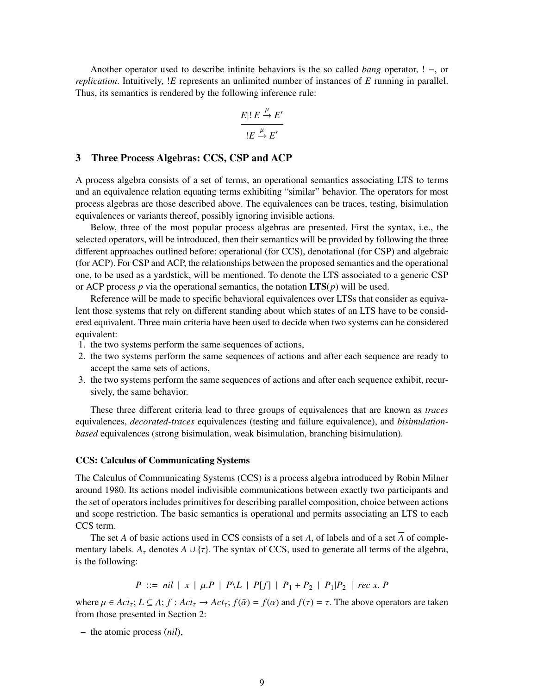Another operator used to describe infinite behaviors is the so called *bang* operator, ! −, or *replication*. Intuitively, !*E* represents an unlimited number of instances of *E* running in parallel. Thus, its semantics is rendered by the following inference rule:

$$
\frac{E|! E \xrightarrow{\mu} E'}{|E \xrightarrow{\mu} E'|}
$$

### 3 Three Process Algebras: CCS, CSP and ACP

A process algebra consists of a set of terms, an operational semantics associating LTS to terms and an equivalence relation equating terms exhibiting "similar" behavior. The operators for most process algebras are those described above. The equivalences can be traces, testing, bisimulation equivalences or variants thereof, possibly ignoring invisible actions.

Below, three of the most popular process algebras are presented. First the syntax, i.e., the selected operators, will be introduced, then their semantics will be provided by following the three different approaches outlined before: operational (for CCS), denotational (for CSP) and algebraic (for ACP). For CSP and ACP, the relationships between the proposed semantics and the operational one, to be used as a yardstick, will be mentioned. To denote the LTS associated to a generic CSP or ACP process  $p$  via the operational semantics, the notation  $LTS(p)$  will be used.

Reference will be made to specific behavioral equivalences over LTSs that consider as equivalent those systems that rely on different standing about which states of an LTS have to be considered equivalent. Three main criteria have been used to decide when two systems can be considered equivalent:

- 1. the two systems perform the same sequences of actions,
- 2. the two systems perform the same sequences of actions and after each sequence are ready to accept the same sets of actions,
- 3. the two systems perform the same sequences of actions and after each sequence exhibit, recursively, the same behavior.

These three different criteria lead to three groups of equivalences that are known as *traces* equivalences, *decorated-traces* equivalences (testing and failure equivalence), and *bisimulationbased* equivalences (strong bisimulation, weak bisimulation, branching bisimulation).

#### CCS: Calculus of Communicating Systems

The Calculus of Communicating Systems (CCS) is a process algebra introduced by Robin Milner around 1980. Its actions model indivisible communications between exactly two participants and the set of operators includes primitives for describing parallel composition, choice between actions and scope restriction. The basic semantics is operational and permits associating an LTS to each CCS term.

The set *A* of basic actions used in CCS consists of a set  $\Lambda$ , of labels and of a set  $\Lambda$  of complementary labels.  $A_{\tau}$  denotes  $A \cup {\tau}$ . The syntax of CCS, used to generate all terms of the algebra, is the following:

$$
P ::= nil \mid x \mid \mu.P \mid P \setminus L \mid P[f] \mid P_1 + P_2 \mid P_1 | P_2 \mid rec \ x. P
$$

where  $\mu \in Act_{\tau}$ ;  $L \subseteq \Lambda$ ;  $f : Act_{\tau} \to Act_{\tau}$ ;  $f(\bar{\alpha}) = f(\alpha)$  and  $f(\tau) = \tau$ . The above operators are taken from those presented in Section 2: from those presented in Section 2:

– the atomic process (*nil*),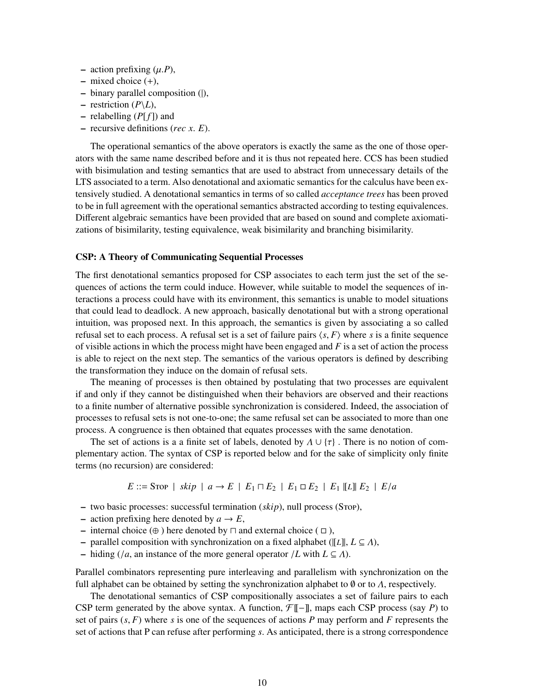- $-$  action prefixing  $(\mu.P)$ ,
- mixed choice (+),
- binary parallel composition (|),
- $-$  restriction ( $P\backslash L$ ),
- relabelling (*P*[*f*]) and
- recursive definitions (*rec x*. *<sup>E</sup>*).

The operational semantics of the above operators is exactly the same as the one of those operators with the same name described before and it is thus not repeated here. CCS has been studied with bisimulation and testing semantics that are used to abstract from unnecessary details of the LTS associated to a term. Also denotational and axiomatic semantics for the calculus have been extensively studied. A denotational semantics in terms of so called *acceptance trees* has been proved to be in full agreement with the operational semantics abstracted according to testing equivalences. Different algebraic semantics have been provided that are based on sound and complete axiomatizations of bisimilarity, testing equivalence, weak bisimilarity and branching bisimilarity.

#### CSP: A Theory of Communicating Sequential Processes

The first denotational semantics proposed for CSP associates to each term just the set of the sequences of actions the term could induce. However, while suitable to model the sequences of interactions a process could have with its environment, this semantics is unable to model situations that could lead to deadlock. A new approach, basically denotational but with a strong operational intuition, was proposed next. In this approach, the semantics is given by associating a so called refusal set to each process. A refusal set is a set of failure pairs  $\langle s, F \rangle$  where *s* is a finite sequence of visible actions in which the process might have been engaged and *F* is a set of action the process is able to reject on the next step. The semantics of the various operators is defined by describing the transformation they induce on the domain of refusal sets.

The meaning of processes is then obtained by postulating that two processes are equivalent if and only if they cannot be distinguished when their behaviors are observed and their reactions to a finite number of alternative possible synchronization is considered. Indeed, the association of processes to refusal sets is not one-to-one; the same refusal set can be associated to more than one process. A congruence is then obtained that equates processes with the same denotation.

The set of actions is a a finite set of labels, denoted by  $\Lambda \cup {\tau}$ . There is no notion of complementary action. The syntax of CSP is reported below and for the sake of simplicity only finite terms (no recursion) are considered:

 $E ::=$  Stop | *skip* |  $a \rightarrow E$  |  $E_1 \sqcap E_2$  |  $E_1 \sqcup E_2$  |  $E_1$  |  $E_2$  |  $E/a$ 

- two basic processes: successful termination (*skip*), null process (Stop),
- $\rightarrow$  action prefixing here denoted by  $a \rightarrow E$ ,
- internal choice  $(\oplus)$  here denoted by  $\sqcap$  and external choice ( $\Box$ ),
- parallel composition with synchronization on a fixed alphabet (|[*L*]|, *<sup>L</sup>* <sup>⊆</sup> Λ),
- hiding (/*a*, an instance of the more general operator /*<sup>L</sup>* with *<sup>L</sup>* <sup>⊆</sup> Λ).

Parallel combinators representing pure interleaving and parallelism with synchronization on the full alphabet can be obtained by setting the synchronization alphabet to  $\emptyset$  or to  $\Lambda$ , respectively.

The denotational semantics of CSP compositionally associates a set of failure pairs to each CSP term generated by the above syntax. A function,  $\mathcal{F}[\![-\!]$ , maps each CSP process (say *P*) to set of pairs  $(s, F)$  where *s* is one of the sequences of actions *P* may perform and *F* represents the set of actions that P can refuse after performing *s*. As anticipated, there is a strong correspondence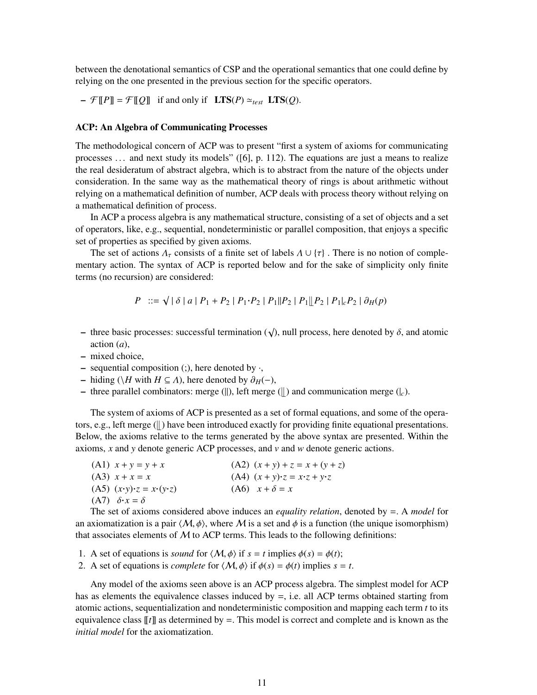between the denotational semantics of CSP and the operational semantics that one could define by relying on the one presented in the previous section for the specific operators.

 $-\mathcal{F}[[P]] = \mathcal{F}[[Q]]$  if and only if  $LTS(P) \simeq_{test} LTS(Q)$ .

#### ACP: An Algebra of Communicating Processes

The methodological concern of ACP was to present "first a system of axioms for communicating processes . . . and next study its models" ([6], p. 112). The equations are just a means to realize the real desideratum of abstract algebra, which is to abstract from the nature of the objects under consideration. In the same way as the mathematical theory of rings is about arithmetic without relying on a mathematical definition of number, ACP deals with process theory without relying on a mathematical definition of process.

In ACP a process algebra is any mathematical structure, consisting of a set of objects and a set of operators, like, e.g., sequential, nondeterministic or parallel composition, that enjoys a specific set of properties as specified by given axioms.

The set of actions  $\Lambda_{\tau}$  consists of a finite set of labels  $\Lambda \cup {\tau}$ . There is no notion of complementary action. The syntax of ACP is reported below and for the sake of simplicity only finite terms (no recursion) are considered:

$$
P \ ::= \sqrt{\|\delta\|a\|P_1 + P_2\|P_1 \cdot P_2\|P_1\|P_2\|P_1\|P_2\|P_1\|_c P_2\|\partial_H(p)}
$$

- three basic processes: successful termination (<sup>√</sup> ), null process, here denoted by  $\delta$ , and atomic action (*a*),
- mixed choice,
- sequential composition (;), here denoted by ·,
- $-$  hiding ( $\setminus H$  with *H* ⊆ Λ), here denoted by  $∂$ <sub>*H*</sub>(−),
- three parallel combinators: merge (||), left merge (||) and communication merge (| $_c$ ).

The system of axioms of ACP is presented as a set of formal equations, and some of the operators, e.g., left merge  $(\|)$  have been introduced exactly for providing finite equational presentations. Below, the axioms relative to the terms generated by the above syntax are presented. Within the axioms, *x* and *y* denote generic ACP processes, and *v* and *w* denote generic actions.

| $(A1)$ $x + y = y + x$                             | $(A2)$ $(x + y) + z = x + (y + z)$                                                                           |
|----------------------------------------------------|--------------------------------------------------------------------------------------------------------------|
| $(A3) x + x = x$                                   | $(A4) (x + y) \cdot z = x \cdot z + y \cdot z$                                                               |
| $(A5)$ $(x \cdot y) \cdot z = x \cdot (y \cdot z)$ | $(A6)$ $x + \delta = x$                                                                                      |
| $(A7)$ $\delta \cdot x = \delta$                   |                                                                                                              |
|                                                    | The set of axioms considered above induces an <i>equality relation</i> , denoted by $=$ . A <i>model</i> for |

an axiomatization is a pair  $\langle M, \phi \rangle$ , where M is a set and  $\phi$  is a function (the unique isomorphism) that associates elements of  $M$  to ACP terms. This leads to the following definitions:

- 1. A set of equations is *sound* for  $\langle M, \phi \rangle$  if  $s = t$  implies  $\phi(s) = \phi(t)$ ;
- 2. A set of equations is *complete* for  $\langle M, \phi \rangle$  if  $\phi(s) = \phi(t)$  implies  $s = t$ .

Any model of the axioms seen above is an ACP process algebra. The simplest model for ACP has as elements the equivalence classes induced by  $=$ , i.e. all ACP terms obtained starting from atomic actions, sequentialization and nondeterministic composition and mapping each term *t* to its equivalence class  $\llbracket t \rrbracket$  as determined by  $=$ . This model is correct and complete and is known as the *initial model* for the axiomatization.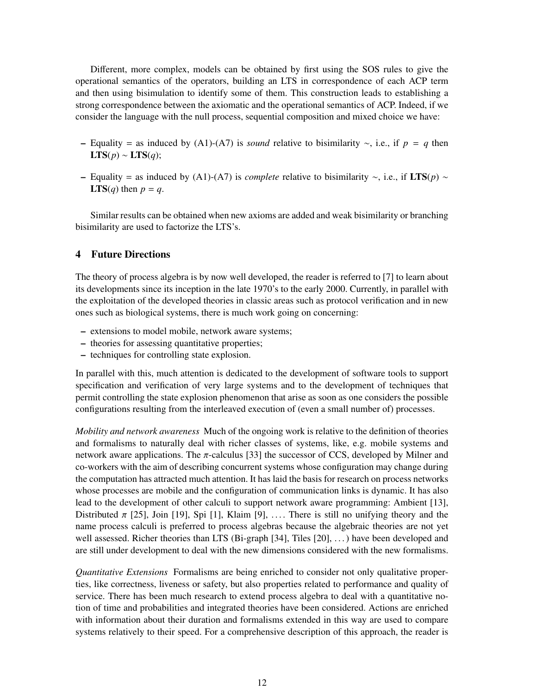Different, more complex, models can be obtained by first using the SOS rules to give the operational semantics of the operators, building an LTS in correspondence of each ACP term and then using bisimulation to identify some of them. This construction leads to establishing a strong correspondence between the axiomatic and the operational semantics of ACP. Indeed, if we consider the language with the null process, sequential composition and mixed choice we have:

- Equality = as induced by (A1)-(A7) is *sound* relative to bisimilarity ∼, i.e., if *p* = *q* then LTS(*p*) ∼ LTS(*q*);
- Equality = as induced by (A1)-(A7) is *complete* relative to bisimilarity ∼, i.e., if LTS(*p*) ∼ **LTS** $(q)$  then  $p = q$ .

Similar results can be obtained when new axioms are added and weak bisimilarity or branching bisimilarity are used to factorize the LTS's.

## 4 Future Directions

The theory of process algebra is by now well developed, the reader is referred to [7] to learn about its developments since its inception in the late 1970's to the early 2000. Currently, in parallel with the exploitation of the developed theories in classic areas such as protocol verification and in new ones such as biological systems, there is much work going on concerning:

- extensions to model mobile, network aware systems;
- theories for assessing quantitative properties;
- techniques for controlling state explosion.

In parallel with this, much attention is dedicated to the development of software tools to support specification and verification of very large systems and to the development of techniques that permit controlling the state explosion phenomenon that arise as soon as one considers the possible configurations resulting from the interleaved execution of (even a small number of) processes.

*Mobility and network awareness* Much of the ongoing work is relative to the definition of theories and formalisms to naturally deal with richer classes of systems, like, e.g. mobile systems and network aware applications. The  $\pi$ -calculus [33] the successor of CCS, developed by Milner and co-workers with the aim of describing concurrent systems whose configuration may change during the computation has attracted much attention. It has laid the basis for research on process networks whose processes are mobile and the configuration of communication links is dynamic. It has also lead to the development of other calculi to support network aware programming: Ambient [13], Distributed  $\pi$  [25], Join [19], Spi [1], Klaim [9], .... There is still no unifying theory and the name process calculi is preferred to process algebras because the algebraic theories are not yet well assessed. Richer theories than LTS (Bi-graph [34], Tiles [20], . . . ) have been developed and are still under development to deal with the new dimensions considered with the new formalisms.

*Quantitative Extensions* Formalisms are being enriched to consider not only qualitative properties, like correctness, liveness or safety, but also properties related to performance and quality of service. There has been much research to extend process algebra to deal with a quantitative notion of time and probabilities and integrated theories have been considered. Actions are enriched with information about their duration and formalisms extended in this way are used to compare systems relatively to their speed. For a comprehensive description of this approach, the reader is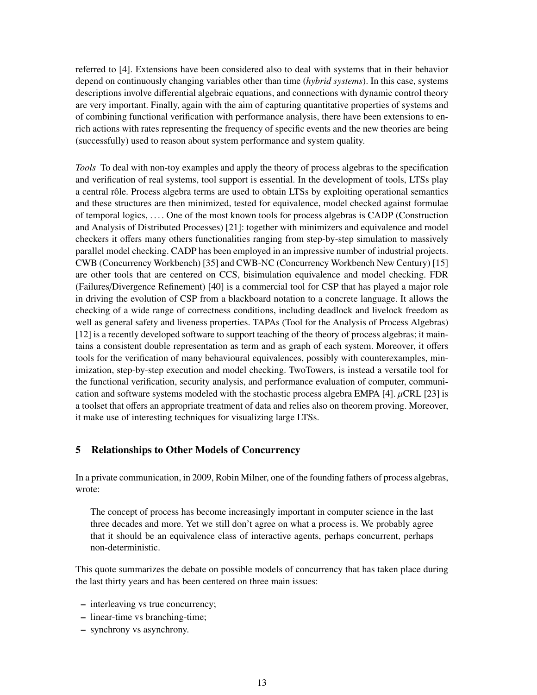referred to [4]. Extensions have been considered also to deal with systems that in their behavior depend on continuously changing variables other than time (*hybrid systems*). In this case, systems descriptions involve differential algebraic equations, and connections with dynamic control theory are very important. Finally, again with the aim of capturing quantitative properties of systems and of combining functional verification with performance analysis, there have been extensions to enrich actions with rates representing the frequency of specific events and the new theories are being (successfully) used to reason about system performance and system quality.

*Tools* To deal with non-toy examples and apply the theory of process algebras to the specification and verification of real systems, tool support is essential. In the development of tools, LTSs play a central rôle. Process algebra terms are used to obtain LTSs by exploiting operational semantics and these structures are then minimized, tested for equivalence, model checked against formulae of temporal logics, . . . . One of the most known tools for process algebras is CADP (Construction and Analysis of Distributed Processes) [21]: together with minimizers and equivalence and model checkers it offers many others functionalities ranging from step-by-step simulation to massively parallel model checking. CADP has been employed in an impressive number of industrial projects. CWB (Concurrency Workbench) [35] and CWB-NC (Concurrency Workbench New Century) [15] are other tools that are centered on CCS, bisimulation equivalence and model checking. FDR (Failures/Divergence Refinement) [40] is a commercial tool for CSP that has played a major role in driving the evolution of CSP from a blackboard notation to a concrete language. It allows the checking of a wide range of correctness conditions, including deadlock and livelock freedom as well as general safety and liveness properties. TAPAs (Tool for the Analysis of Process Algebras) [12] is a recently developed software to support teaching of the theory of process algebras; it maintains a consistent double representation as term and as graph of each system. Moreover, it offers tools for the verification of many behavioural equivalences, possibly with counterexamples, minimization, step-by-step execution and model checking. TwoTowers, is instead a versatile tool for the functional verification, security analysis, and performance evaluation of computer, communication and software systems modeled with the stochastic process algebra EMPA [4].  $\mu$ CRL [23] is a toolset that offers an appropriate treatment of data and relies also on theorem proving. Moreover, it make use of interesting techniques for visualizing large LTSs.

# 5 Relationships to Other Models of Concurrency

In a private communication, in 2009, Robin Milner, one of the founding fathers of process algebras, wrote:

The concept of process has become increasingly important in computer science in the last three decades and more. Yet we still don't agree on what a process is. We probably agree that it should be an equivalence class of interactive agents, perhaps concurrent, perhaps non-deterministic.

This quote summarizes the debate on possible models of concurrency that has taken place during the last thirty years and has been centered on three main issues:

- interleaving vs true concurrency;
- linear-time vs branching-time;
- synchrony vs asynchrony.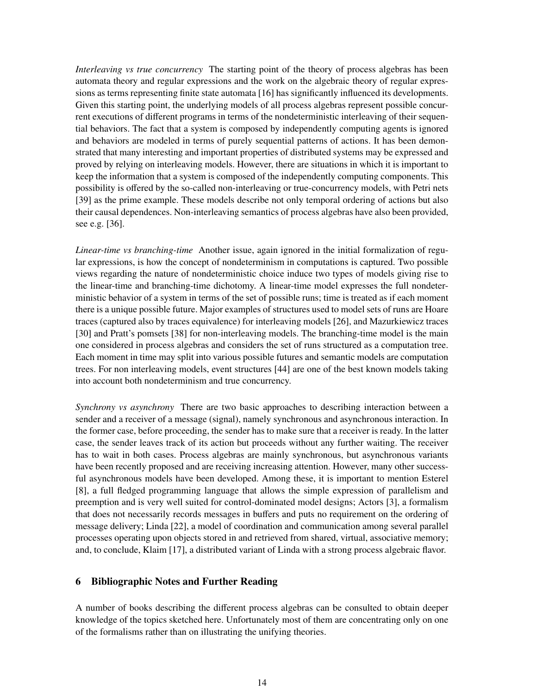*Interleaving vs true concurrency* The starting point of the theory of process algebras has been automata theory and regular expressions and the work on the algebraic theory of regular expressions as terms representing finite state automata [16] has significantly influenced its developments. Given this starting point, the underlying models of all process algebras represent possible concurrent executions of different programs in terms of the nondeterministic interleaving of their sequential behaviors. The fact that a system is composed by independently computing agents is ignored and behaviors are modeled in terms of purely sequential patterns of actions. It has been demonstrated that many interesting and important properties of distributed systems may be expressed and proved by relying on interleaving models. However, there are situations in which it is important to keep the information that a system is composed of the independently computing components. This possibility is offered by the so-called non-interleaving or true-concurrency models, with Petri nets [39] as the prime example. These models describe not only temporal ordering of actions but also their causal dependences. Non-interleaving semantics of process algebras have also been provided, see e.g. [36].

*Linear-time vs branching-time* Another issue, again ignored in the initial formalization of regular expressions, is how the concept of nondeterminism in computations is captured. Two possible views regarding the nature of nondeterministic choice induce two types of models giving rise to the linear-time and branching-time dichotomy. A linear-time model expresses the full nondeterministic behavior of a system in terms of the set of possible runs; time is treated as if each moment there is a unique possible future. Major examples of structures used to model sets of runs are Hoare traces (captured also by traces equivalence) for interleaving models [26], and Mazurkiewicz traces [30] and Pratt's pomsets [38] for non-interleaving models. The branching-time model is the main one considered in process algebras and considers the set of runs structured as a computation tree. Each moment in time may split into various possible futures and semantic models are computation trees. For non interleaving models, event structures [44] are one of the best known models taking into account both nondeterminism and true concurrency.

*Synchrony vs asynchrony* There are two basic approaches to describing interaction between a sender and a receiver of a message (signal), namely synchronous and asynchronous interaction. In the former case, before proceeding, the sender has to make sure that a receiver is ready. In the latter case, the sender leaves track of its action but proceeds without any further waiting. The receiver has to wait in both cases. Process algebras are mainly synchronous, but asynchronous variants have been recently proposed and are receiving increasing attention. However, many other successful asynchronous models have been developed. Among these, it is important to mention Esterel [8], a full fledged programming language that allows the simple expression of parallelism and preemption and is very well suited for control-dominated model designs; Actors [3], a formalism that does not necessarily records messages in buffers and puts no requirement on the ordering of message delivery; Linda [22], a model of coordination and communication among several parallel processes operating upon objects stored in and retrieved from shared, virtual, associative memory; and, to conclude, Klaim [17], a distributed variant of Linda with a strong process algebraic flavor.

## 6 Bibliographic Notes and Further Reading

A number of books describing the different process algebras can be consulted to obtain deeper knowledge of the topics sketched here. Unfortunately most of them are concentrating only on one of the formalisms rather than on illustrating the unifying theories.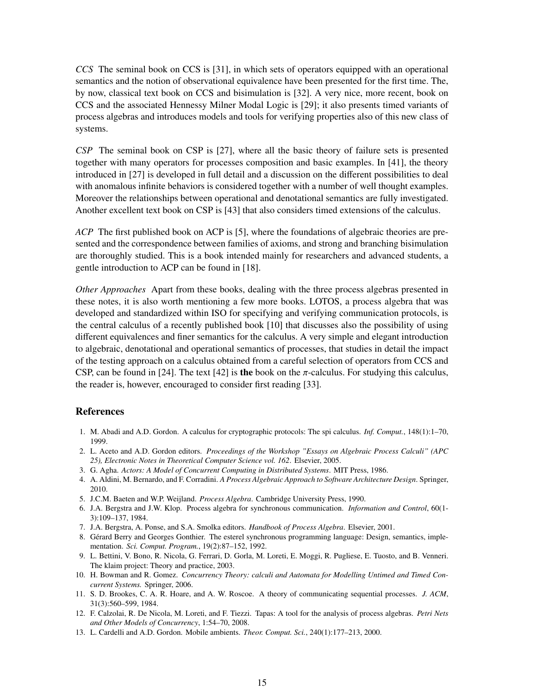*CCS* The seminal book on CCS is [31], in which sets of operators equipped with an operational semantics and the notion of observational equivalence have been presented for the first time. The, by now, classical text book on CCS and bisimulation is [32]. A very nice, more recent, book on CCS and the associated Hennessy Milner Modal Logic is [29]; it also presents timed variants of process algebras and introduces models and tools for verifying properties also of this new class of systems.

*CSP* The seminal book on CSP is [27], where all the basic theory of failure sets is presented together with many operators for processes composition and basic examples. In [41], the theory introduced in [27] is developed in full detail and a discussion on the different possibilities to deal with anomalous infinite behaviors is considered together with a number of well thought examples. Moreover the relationships between operational and denotational semantics are fully investigated. Another excellent text book on CSP is [43] that also considers timed extensions of the calculus.

*ACP* The first published book on ACP is [5], where the foundations of algebraic theories are presented and the correspondence between families of axioms, and strong and branching bisimulation are thoroughly studied. This is a book intended mainly for researchers and advanced students, a gentle introduction to ACP can be found in [18].

*Other Approaches* Apart from these books, dealing with the three process algebras presented in these notes, it is also worth mentioning a few more books. LOTOS, a process algebra that was developed and standardized within ISO for specifying and verifying communication protocols, is the central calculus of a recently published book [10] that discusses also the possibility of using different equivalences and finer semantics for the calculus. A very simple and elegant introduction to algebraic, denotational and operational semantics of processes, that studies in detail the impact of the testing approach on a calculus obtained from a careful selection of operators from CCS and CSP, can be found in [24]. The text [42] is **the** book on the  $\pi$ -calculus. For studying this calculus, the reader is, however, encouraged to consider first reading [33].

## References

- 1. M. Abadi and A.D. Gordon. A calculus for cryptographic protocols: The spi calculus. *Inf. Comput.*, 148(1):1–70, 1999.
- 2. L. Aceto and A.D. Gordon editors. *Proceedings of the Workshop "Essays on Algebraic Process Calculi" (APC 25), Electronic Notes in Theoretical Computer Science vol. 162*. Elsevier, 2005.
- 3. G. Agha. *Actors: A Model of Concurrent Computing in Distributed Systems*. MIT Press, 1986.
- 4. A. Aldini, M. Bernardo, and F. Corradini. *A Process Algebraic Approach to Software Architecture Design*. Springer, 2010.
- 5. J.C.M. Baeten and W.P. Weijland. *Process Algebra*. Cambridge University Press, 1990.
- 6. J.A. Bergstra and J.W. Klop. Process algebra for synchronous communication. *Information and Control*, 60(1- 3):109–137, 1984.
- 7. J.A. Bergstra, A. Ponse, and S.A. Smolka editors. *Handbook of Process Algebra*. Elsevier, 2001.
- 8. Gérard Berry and Georges Gonthier. The esterel synchronous programming language: Design, semantics, implementation. *Sci. Comput. Program.*, 19(2):87–152, 1992.
- 9. L. Bettini, V. Bono, R. Nicola, G. Ferrari, D. Gorla, M. Loreti, E. Moggi, R. Pugliese, E. Tuosto, and B. Venneri. The klaim project: Theory and practice, 2003.
- 10. H. Bowman and R. Gomez. *Concurrency Theory: calculi and Automata for Modelling Untimed and Timed Concurrent Systems.* Springer, 2006.
- 11. S. D. Brookes, C. A. R. Hoare, and A. W. Roscoe. A theory of communicating sequential processes. *J. ACM*, 31(3):560–599, 1984.
- 12. F. Calzolai, R. De Nicola, M. Loreti, and F. Tiezzi. Tapas: A tool for the analysis of process algebras. *Petri Nets and Other Models of Concurrency*, 1:54–70, 2008.
- 13. L. Cardelli and A.D. Gordon. Mobile ambients. *Theor. Comput. Sci.*, 240(1):177–213, 2000.